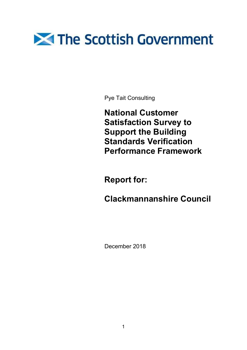# The Scottish Government

Pye Tait Consulting

National Customer Satisfaction Survey to Support the Building Standards Verification Performance Framework

Report for:

Clackmannanshire Council

December 2018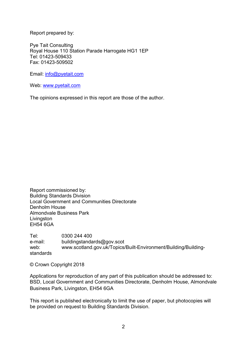Report prepared by:

Pye Tait Consulting Royal House 110 Station Parade Harrogate HG1 1EP Tel: 01423-509433 Fax: 01423-509502

Email: info@pyetait.com

Web: www.pyetait.com

The opinions expressed in this report are those of the author.

Report commissioned by: Building Standards Division Local Government and Communities Directorate Denholm House Almondvale Business Park **Livingston** EH54 6GA

Tel: 0300 244 400 e-mail: buildingstandards@gov.scot web: www.scotland.gov.uk/Topics/Built-Environment/Building/Buildingstandards

© Crown Copyright 2018

Applications for reproduction of any part of this publication should be addressed to: BSD, Local Government and Communities Directorate, Denholm House, Almondvale Business Park, Livingston, EH54 6GA

This report is published electronically to limit the use of paper, but photocopies will be provided on request to Building Standards Division.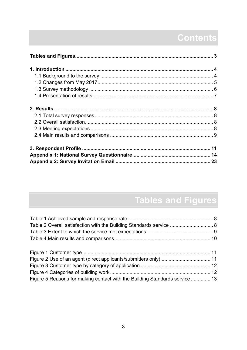## Contents

## Tables and Figures

| Table 2 Overall satisfaction with the Building Standards service  8         |  |
|-----------------------------------------------------------------------------|--|
|                                                                             |  |
|                                                                             |  |
|                                                                             |  |
|                                                                             |  |
|                                                                             |  |
|                                                                             |  |
| Figure 5 Reasons for making contact with the Building Standards service  13 |  |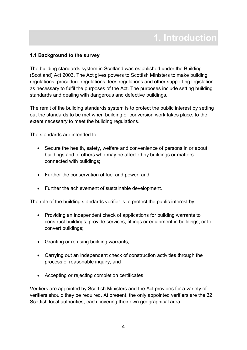## 1.1 Background to the survey

The building standards system in Scotland was established under the Building (Scotland) Act 2003. The Act gives powers to Scottish Ministers to make building regulations, procedure regulations, fees regulations and other supporting legislation as necessary to fulfil the purposes of the Act. The purposes include setting building standards and dealing with dangerous and defective buildings.

The remit of the building standards system is to protect the public interest by setting out the standards to be met when building or conversion work takes place, to the extent necessary to meet the building regulations.

The standards are intended to:

- Secure the health, safety, welfare and convenience of persons in or about buildings and of others who may be affected by buildings or matters connected with buildings;
- Further the conservation of fuel and power; and
- Further the achievement of sustainable development.

The role of the building standards verifier is to protect the public interest by:

- Providing an independent check of applications for building warrants to construct buildings, provide services, fittings or equipment in buildings, or to convert buildings;
- Granting or refusing building warrants;
- Carrying out an independent check of construction activities through the process of reasonable inquiry; and
- Accepting or rejecting completion certificates.

Verifiers are appointed by Scottish Ministers and the Act provides for a variety of verifiers should they be required. At present, the only appointed verifiers are the 32 Scottish local authorities, each covering their own geographical area.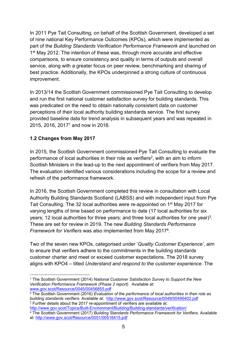In 2011 Pye Tait Consulting, on behalf of the Scottish Government, developed a set of nine national Key Performance Outcomes (KPOs), which were implemented as part of the Building Standards Verification Performance Framework and launched on 1<sup>st</sup> May 2012. The intention of these was, through more accurate and effective comparisons, to ensure consistency and quality in terms of outputs and overall service, along with a greater focus on peer review, benchmarking and sharing of best practice. Additionally, the KPOs underpinned a strong culture of continuous improvement.

In 2013/14 the Scottish Government commissioned Pye Tait Consulting to develop and run the first national customer satisfaction survey for building standards. This was predicated on the need to obtain nationally consistent data on customer perceptions of their local authority building standards service. The first survey provided baseline data for trend analysis in subsequent years and was repeated in 2015, 2016, 2017<sup>1</sup> and now in 2018.

## 1.2 Changes from May 2017

In 2015, the Scottish Government commissioned Pye Tait Consulting to evaluate the performance of local authorities in their role as verifiers<sup>2</sup>, with an aim to inform Scottish Ministers in the lead-up to the next appointment of verifiers from May 2017. The evaluation identified various considerations including the scope for a review and refresh of the performance framework.

In 2016, the Scottish Government completed this review in consultation with Local Authority Building Standards Scotland (LABSS) and with independent input from Pye Tait Consulting. The 32 local authorities were re-appointed on 1<sup>st</sup> May 2017 for varying lengths of time based on performance to date (17 local authorities for six years; 12 local authorities for three years; and three local authorities for one year)<sup>3</sup>. These are set for review in 2019. The new Building Standards Performance Framework for Verifiers was also implemented from May 2017<sup>4</sup>.

Two of the seven new KPOs, categorised under 'Quality Customer Experience', aim to ensure that verifiers adhere to the commitments in the building standards customer charter and meet or exceed customer expectations. The 2018 survey aligns with KPO4 – titled Understand and respond to the customer experience. The

<sup>-</sup><sup>1</sup> The Scottish Government (2014) National Customer Satisfaction Survey to Support the New Verification Performance Framework (Phase 2 report). Available at: www.gov.scot/Resource/0045/00456855.pdf

<sup>&</sup>lt;sup>2</sup> The Scottish Government (2016) *Evaluation of the performance of local authorities in their role as* building standards verifiers. Available at: http://www.gov.scot/Resource/0049/00495402.pdf <sup>3</sup> Further details about the 2017 re-appointment of verifiers are available at:

http://www.gov.scot/Topics/Built-Environment/Building/Building-standards/verification/ <sup>4</sup> The Scottish Government (2017) *Building Standards Performance Framework for Verifiers.* Available at: http://www.gov.scot/Resource/0051/00516415.pdf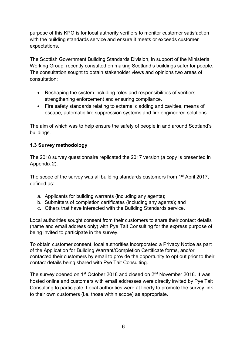purpose of this KPO is for local authority verifiers to monitor customer satisfaction with the building standards service and ensure it meets or exceeds customer expectations.

The Scottish Government Building Standards Division, in support of the Ministerial Working Group, recently consulted on making Scotland's buildings safer for people. The consultation sought to obtain stakeholder views and opinions two areas of consultation:

- Reshaping the system including roles and responsibilities of verifiers, strengthening enforcement and ensuring compliance.
- Fire safety standards relating to external cladding and cavities, means of escape, automatic fire suppression systems and fire engineered solutions.

The aim of which was to help ensure the safety of people in and around Scotland's buildings.

## 1.3 Survey methodology

The 2018 survey questionnaire replicated the 2017 version (a copy is presented in Appendix 2).

The scope of the survey was all building standards customers from 1<sup>st</sup> April 2017, defined as:

- a. Applicants for building warrants (including any agents);
- b. Submitters of completion certificates (including any agents); and
- c. Others that have interacted with the Building Standards service.

Local authorities sought consent from their customers to share their contact details (name and email address only) with Pye Tait Consulting for the express purpose of being invited to participate in the survey.

To obtain customer consent, local authorities incorporated a Privacy Notice as part of the Application for Building Warrant/Completion Certificate forms, and/or contacted their customers by email to provide the opportunity to opt out prior to their contact details being shared with Pye Tait Consulting.

The survey opened on 1<sup>st</sup> October 2018 and closed on 2<sup>nd</sup> November 2018. It was hosted online and customers with email addresses were directly invited by Pye Tait Consulting to participate. Local authorities were at liberty to promote the survey link to their own customers (i.e. those within scope) as appropriate.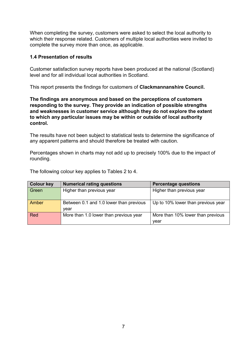When completing the survey, customers were asked to select the local authority to which their response related. Customers of multiple local authorities were invited to complete the survey more than once, as applicable.

## 1.4 Presentation of results

Customer satisfaction survey reports have been produced at the national (Scotland) level and for all individual local authorities in Scotland.

This report presents the findings for customers of Clackmannanshire Council.

The findings are anonymous and based on the perceptions of customers responding to the survey. They provide an indication of possible strengths and weaknesses in customer service although they do not explore the extent to which any particular issues may be within or outside of local authority control.

The results have not been subject to statistical tests to determine the significance of any apparent patterns and should therefore be treated with caution.

Percentages shown in charts may not add up to precisely 100% due to the impact of rounding.

| <b>Colour key</b> | <b>Numerical rating questions</b>       | <b>Percentage questions</b>        |
|-------------------|-----------------------------------------|------------------------------------|
| Green             | Higher than previous year               | Higher than previous year          |
|                   |                                         |                                    |
| Amber             | Between 0.1 and 1.0 lower than previous | Up to 10% lower than previous year |
|                   | year                                    |                                    |
| <b>Red</b>        | More than 1.0 lower than previous year  | More than 10% lower than previous  |
|                   |                                         | vear                               |

The following colour key applies to Tables 2 to 4.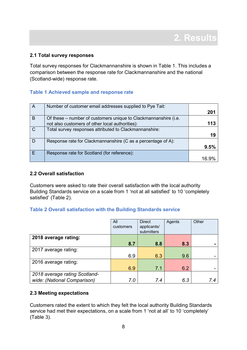#### 2.1 Total survey responses

Total survey responses for Clackmannanshire is shown in Table 1. This includes a comparison between the response rate for Clackmannanshire and the national (Scotland-wide) response rate.

### Table 1 Achieved sample and response rate

| A            | Number of customer email addresses supplied to Pye Tait:        |      |
|--------------|-----------------------------------------------------------------|------|
|              |                                                                 | 201  |
| <sub>B</sub> | Of these – number of customers unique to Clackmannanshire (i.e. |      |
|              | not also customers of other local authorities):                 | 113  |
|              | Total survey responses attributed to Clackmannanshire:          |      |
|              |                                                                 | 19   |
|              | Response rate for Clackmannanshire (C as a percentage of A):    |      |
|              |                                                                 | 9.5% |
|              | Response rate for Scotland (for reference):                     |      |
|              |                                                                 |      |

#### 2.2 Overall satisfaction

Customers were asked to rate their overall satisfaction with the local authority Building Standards service on a scale from 1 'not at all satisfied' to 10 'completely satisfied' (Table 2).

### Table 2 Overall satisfaction with the Building Standards service

|                               | All<br>customers | <b>Direct</b><br>applicants/<br>submitters | Agents | Other |
|-------------------------------|------------------|--------------------------------------------|--------|-------|
| 2018 average rating:          |                  |                                            |        |       |
|                               | 8.7              | 8.8                                        | 8.3    |       |
| 2017 average rating:          |                  |                                            |        |       |
|                               | 6.9              | 6.3                                        | 9.6    |       |
| 2016 average rating:          |                  |                                            |        |       |
|                               | 6.9              | 7.1                                        | 6.2    |       |
| 2018 average rating Scotland- |                  |                                            |        |       |
| wide: (National Comparison)   | 7.0              | 7.4                                        | 6.3    | 7.4   |

### 2.3 Meeting expectations

Customers rated the extent to which they felt the local authority Building Standards service had met their expectations, on a scale from 1 'not at all' to 10 'completely' (Table 3).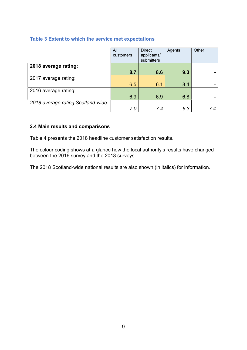## Table 3 Extent to which the service met expectations

|                                    | All       | <b>Direct</b> | Agents | Other |
|------------------------------------|-----------|---------------|--------|-------|
|                                    | customers | applicants/   |        |       |
|                                    |           | submitters    |        |       |
| 2018 average rating:               |           |               |        |       |
|                                    | 8.7       | 8.6           | 9.3    |       |
| 2017 average rating:               |           |               |        |       |
|                                    | 6.5       | 6.1           | 8.4    |       |
| 2016 average rating:               |           |               |        |       |
|                                    | 6.9       | 6.9           | 6.8    |       |
| 2018 average rating Scotland-wide: |           |               |        |       |
|                                    | 7.0       | 7.4           | 6.3    | 7.4   |

## 2.4 Main results and comparisons

Table 4 presents the 2018 headline customer satisfaction results.

The colour coding shows at a glance how the local authority's results have changed between the 2016 survey and the 2018 surveys.

The 2018 Scotland-wide national results are also shown (in italics) for information.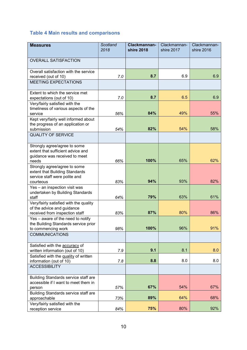## Table 4 Main results and comparisons

| <b>Measures</b>                                                 | Scotland<br>2018 | Clackmannan-<br><b>shire 2018</b> | Clackmannan-<br>shire 2017 | Clackmannan-<br>shire 2016 |
|-----------------------------------------------------------------|------------------|-----------------------------------|----------------------------|----------------------------|
|                                                                 |                  |                                   |                            |                            |
| <b>OVERALL SATISFACTION</b>                                     |                  |                                   |                            |                            |
| Overall satisfaction with the service                           |                  |                                   |                            |                            |
| received (out of 10)                                            | 7.0              | 8.7                               | 6.9                        | 6.9                        |
| <b>MEETING EXPECTATIONS</b>                                     |                  |                                   |                            |                            |
| Extent to which the service met<br>expectations (out of 10)     | 7.0              | 8.7                               | 6.5                        | 6.9                        |
| Very/fairly satisfied with the                                  |                  |                                   |                            |                            |
| timeliness of various aspects of the                            |                  |                                   |                            |                            |
| service                                                         | 56%              | 84%                               | 49%                        | 55%                        |
| Kept very/fairly well informed about                            |                  |                                   |                            |                            |
| the progress of an application or                               |                  |                                   |                            |                            |
| submission                                                      | 54%              | 82%                               | 54%                        | 58%                        |
| <b>QUALITY OF SERVICE</b>                                       |                  |                                   |                            |                            |
| Strongly agree/agree to some                                    |                  |                                   |                            |                            |
| extent that sufficient advice and                               |                  |                                   |                            |                            |
| guidance was received to meet                                   |                  |                                   |                            |                            |
| needs                                                           | 66%              | 100%                              | 65%                        | 62%                        |
| Strongly agree/agree to some                                    |                  |                                   |                            |                            |
| extent that Building Standards<br>service staff were polite and |                  |                                   |                            |                            |
| courteous                                                       | 83%              | 94%                               | 93%                        | 82%                        |
| Yes - an inspection visit was                                   |                  |                                   |                            |                            |
| undertaken by Building Standards                                |                  |                                   |                            |                            |
| staff                                                           | 64%              | 79%                               | 63%                        | 61%                        |
| Very/fairly satisfied with the quality                          |                  |                                   |                            |                            |
| of the advice and guidance                                      |                  |                                   |                            |                            |
| received from inspection staff                                  | 83%              | 87%                               | 80%                        | 86%                        |
| Yes - aware of the need to notify                               |                  |                                   |                            |                            |
| the Building Standards service prior<br>to commencing work      | 98%              | 100%                              | 96%                        | 91%                        |
| <b>COMMUNICATIONS</b>                                           |                  |                                   |                            |                            |
|                                                                 |                  |                                   |                            |                            |
| Satisfied with the <b>accuracy</b> of                           |                  |                                   |                            |                            |
| written information (out of 10)                                 | 7.9              | 9.1                               | 8.1                        | 8.0                        |
| Satisfied with the quality of written                           | 7.8              | 8.8                               | 8.0                        | 8.0                        |
| information (out of 10)<br><b>ACCESSIBILITY</b>                 |                  |                                   |                            |                            |
|                                                                 |                  |                                   |                            |                            |
| Building Standards service staff are                            |                  |                                   |                            |                            |
| accessible if I want to meet them in                            |                  |                                   |                            |                            |
| person                                                          | 57%              | 67%                               | 54%                        | 67%                        |
| Building Standards service staff are                            |                  | 89%                               | 64%                        | 68%                        |
| approachable<br>Very/fairly satisfied with the                  | 73%              |                                   |                            |                            |
| reception service                                               | 84%              | 75%                               | 80%                        | 92%                        |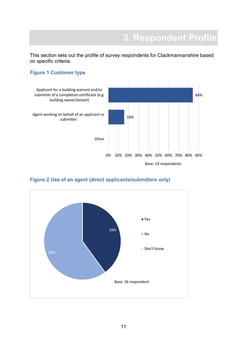This section sets out the profile of survey respondents for Clackmannanshire based on specific criteria.

## Figure 1 Customer type





## Figure 2 Use of an agent (direct applicants/submitters only)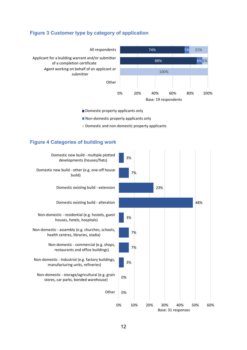## Figure 3 Customer type by category of application



Domestic property applicants only

Non-domestic property applicants only

Domestic and non-domestic property applicants

#### Figure 4 Categories of building work

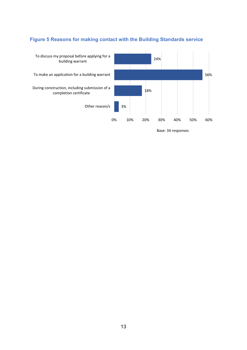## Figure 5 Reasons for making contact with the Building Standards service



Base: 34 responses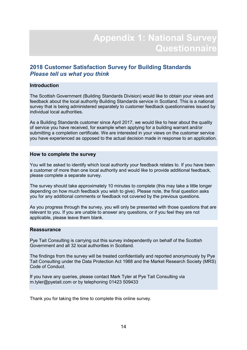## 2018 Customer Satisfaction Survey for Building Standards Please tell us what you think

#### Introduction

The Scottish Government (Building Standards Division) would like to obtain your views and feedback about the local authority Building Standards service in Scotland. This is a national survey that is being administered separately to customer feedback questionnaires issued by individual local authorities.

As a Building Standards customer since April 2017, we would like to hear about the quality of service you have received, for example when applying for a building warrant and/or submitting a completion certificate. We are interested in your views on the customer service you have experienced as opposed to the actual decision made in response to an application.

#### How to complete the survey

You will be asked to identify which local authority your feedback relates to. If you have been a customer of more than one local authority and would like to provide additional feedback, please complete a separate survey.

The survey should take approximately 10 minutes to complete (this may take a little longer depending on how much feedback you wish to give). Please note, the final question asks you for any additional comments or feedback not covered by the previous questions.

As you progress through the survey, you will only be presented with those questions that are relevant to you. If you are unable to answer any questions, or if you feel they are not applicable, please leave them blank.

#### **Reassurance**

Pye Tait Consulting is carrying out this survey independently on behalf of the Scottish Government and all 32 local authorities in Scotland.

The findings from the survey will be treated confidentially and reported anonymously by Pye Tait Consulting under the Data Protection Act 1988 and the Market Research Society (MRS) Code of Conduct.

If you have any queries, please contact Mark Tyler at Pye Tait Consulting via m.tyler@pyetait.com or by telephoning 01423 509433

Thank you for taking the time to complete this online survey.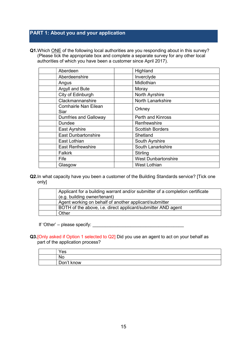## PART 1: About you and your application

Q1. Which ONE of the following local authorities are you responding about in this survey? (Please tick the appropriate box and complete a separate survey for any other local authorities of which you have been a customer since April 2017).

| Aberdeen                            | Highland                   |
|-------------------------------------|----------------------------|
| Aberdeenshire                       | Inverclyde                 |
| Angus                               | Midlothian                 |
| Argyll and Bute                     | Moray                      |
| City of Edinburgh                   | North Ayrshire             |
| Clackmannanshire                    | North Lanarkshire          |
| <b>Comhairle Nan Eilean</b><br>Siar | Orkney                     |
| <b>Dumfries and Galloway</b>        | <b>Perth and Kinross</b>   |
| <b>Dundee</b>                       | Renfrewshire               |
| East Ayrshire                       | <b>Scottish Borders</b>    |
| <b>East Dunbartonshire</b>          | Shetland                   |
| East Lothian                        | South Ayrshire             |
| <b>East Renfrewshire</b>            | South Lanarkshire          |
| <b>Falkirk</b>                      | Stirling                   |
| Fife                                | <b>West Dunbartonshire</b> |
| Glasgow                             | <b>West Lothian</b>        |

Q2. In what capacity have you been a customer of the Building Standards service? [Tick one only]

| Applicant for a building warrant and/or submitter of a completion certificate<br>(e.g. building owner/tenant) |
|---------------------------------------------------------------------------------------------------------------|
| Agent working on behalf of another applicant/submitter                                                        |
| BOTH of the above, i.e. direct applicant/submitter AND agent                                                  |
| Other                                                                                                         |

If 'Other' – please specify:  $\sqrt{\frac{2}{n}}$ 

Q3. [Only asked if Option 1 selected to Q2] Did you use an agent to act on your behalf as part of the application process?

| 'es<br>    |
|------------|
| No         |
| Don't know |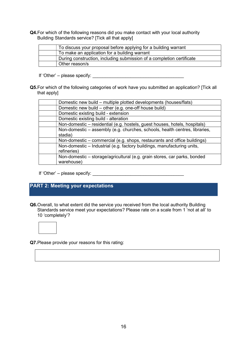Q4. For which of the following reasons did you make contact with your local authority Building Standards service? [Tick all that apply]

| To discuss your proposal before applying for a building warrant       |
|-----------------------------------------------------------------------|
| To make an application for a building warrant                         |
| During construction, including submission of a completion certificate |
| Other reason/s                                                        |

If 'Other' – please specify:  $\blacksquare$ 

Q5. For which of the following categories of work have you submitted an application? [Tick all that apply]

| Domestic new build – multiple plotted developments (houses/flats)           |
|-----------------------------------------------------------------------------|
| Domestic new build - other (e.g. one-off house build)                       |
| Domestic existing build - extension                                         |
| Domestic existing build - alteration                                        |
| Non-domestic - residential (e.g. hostels, guest houses, hotels, hospitals)  |
| Non-domestic – assembly (e.g. churches, schools, health centres, libraries, |
| stadia)                                                                     |
| Non-domestic – commercial (e.g. shops, restaurants and office buildings)    |
| Non-domestic - Industrial (e.g. factory buildings, manufacturing units,     |
| refineries)                                                                 |
| Non-domestic - storage/agricultural (e.g. grain stores, car parks, bonded   |
| warehouse)                                                                  |
|                                                                             |

If 'Other' – please specify: \_\_\_\_\_\_\_\_\_\_\_\_\_\_\_\_\_\_\_\_\_\_\_\_\_\_\_\_\_\_\_\_\_\_\_\_

## PART 2: Meeting your expectations

Q6. Overall, to what extent did the service you received from the local authority Building Standards service meet your expectations? Please rate on a scale from 1 'not at all' to 10 'completely'?



Q7. Please provide your reasons for this rating: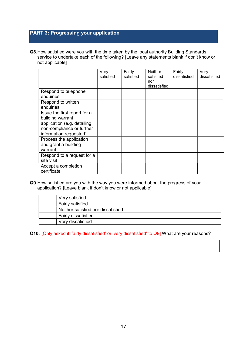## PART 3: Progressing your application

Q8. How satisfied were you with the time taken by the local authority Building Standards service to undertake each of the following? [Leave any statements blank if don't know or not applicable]

|                              | Very<br>satisfied | Fairly<br>satisfied | <b>Neither</b><br>satisfied | Fairly<br>dissatisfied | Very<br>dissatisfied |
|------------------------------|-------------------|---------------------|-----------------------------|------------------------|----------------------|
|                              |                   |                     | nor<br>dissatisfied         |                        |                      |
| Respond to telephone         |                   |                     |                             |                        |                      |
| enquiries                    |                   |                     |                             |                        |                      |
| Respond to written           |                   |                     |                             |                        |                      |
| enquiries                    |                   |                     |                             |                        |                      |
| Issue the first report for a |                   |                     |                             |                        |                      |
| building warrant             |                   |                     |                             |                        |                      |
| application (e.g. detailing  |                   |                     |                             |                        |                      |
| non-compliance or further    |                   |                     |                             |                        |                      |
| information requested)       |                   |                     |                             |                        |                      |
| Process the application      |                   |                     |                             |                        |                      |
| and grant a building         |                   |                     |                             |                        |                      |
| warrant                      |                   |                     |                             |                        |                      |
| Respond to a request for a   |                   |                     |                             |                        |                      |
| site visit                   |                   |                     |                             |                        |                      |
| Accept a completion          |                   |                     |                             |                        |                      |
| certificate                  |                   |                     |                             |                        |                      |

#### Q9. How satisfied are you with the way you were informed about the progress of your application? [Leave blank if don't know or not applicable]

| Very satisfied                     |
|------------------------------------|
| Fairly satisfied                   |
| Neither satisfied nor dissatisfied |
| <b>Fairly dissatisfied</b>         |
| Very dissatisfied                  |

Q10. [Only asked if 'fairly dissatisfied' or 'very dissatisfied' to Q9] What are your reasons?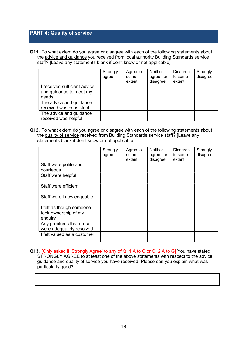## PART 4: Quality of service

Q11. To what extent do you agree or disagree with each of the following statements about the advice and guidance you received from local authority Building Standards service staff? [Leave any statements blank if don't know or not applicable]

|                                                                  | Strongly<br>agree | Agree to<br>some<br>extent | Neither<br>agree nor<br>disagree | <b>Disagree</b><br>to some<br>extent | Strongly<br>disagree |
|------------------------------------------------------------------|-------------------|----------------------------|----------------------------------|--------------------------------------|----------------------|
| I received sufficient advice<br>and guidance to meet my<br>needs |                   |                            |                                  |                                      |                      |
| The advice and guidance I<br>received was consistent             |                   |                            |                                  |                                      |                      |
| The advice and guidance I<br>received was helpful                |                   |                            |                                  |                                      |                      |

Q12. To what extent do you agree or disagree with each of the following statements about the quality of service received from Building Standards service staff? [Leave any statements blank if don't know or not applicable]

|                                                             | Strongly<br>agree | Agree to<br>some<br>extent | <b>Neither</b><br>agree nor<br>disagree | Disagree<br>to some<br>extent | Strongly<br>disagree |
|-------------------------------------------------------------|-------------------|----------------------------|-----------------------------------------|-------------------------------|----------------------|
| Staff were polite and<br>courteous                          |                   |                            |                                         |                               |                      |
| Staff were helpful                                          |                   |                            |                                         |                               |                      |
| Staff were efficient                                        |                   |                            |                                         |                               |                      |
| Staff were knowledgeable                                    |                   |                            |                                         |                               |                      |
| I felt as though someone<br>took ownership of my<br>enquiry |                   |                            |                                         |                               |                      |
| Any problems that arose<br>were adequately resolved         |                   |                            |                                         |                               |                      |
| I felt valued as a customer                                 |                   |                            |                                         |                               |                      |

Q13. [Only asked if 'Strongly Agree' to any of Q11 A to C or Q12 A to G] You have stated STRONGLY AGREE to at least one of the above statements with respect to the advice, guidance and quality of service you have received. Please can you explain what was particularly good?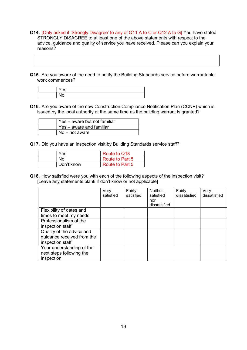- Q14. [Only asked if 'Strongly Disagree' to any of Q11 A to C or Q12 A to G] You have stated STRONGLY DISAGREE to at least one of the above statements with respect to the advice, guidance and quality of service you have received. Please can you explain your reasons?
- Q15. Are you aware of the need to notify the Building Standards service before warrantable work commences?

Q16. Are you aware of the new Construction Compliance Notification Plan (CCNP) which is issued by the local authority at the same time as the building warrant is granted?

| Yes - aware but not familiar |
|------------------------------|
| Yes – aware and familiar     |
| ⊥ No – not aware             |

Q17. Did you have an inspection visit by Building Standards service staff?

| Yes        | Route to Q18    |
|------------|-----------------|
| No         | Route to Part 5 |
| Don't know | Route to Part 5 |

Q18. How satisfied were you with each of the following aspects of the inspection visit? [Leave any statements blank if don't know or not applicable]

|                                                                             | Very<br>satisfied | Fairly<br>satisfied | <b>Neither</b><br>satisfied<br>nor<br>dissatisfied | Fairly<br>dissatisfied | Very<br>dissatisfied |
|-----------------------------------------------------------------------------|-------------------|---------------------|----------------------------------------------------|------------------------|----------------------|
| Flexibility of dates and<br>times to meet my needs                          |                   |                     |                                                    |                        |                      |
| Professionalism of the<br>inspection staff                                  |                   |                     |                                                    |                        |                      |
| Quality of the advice and<br>guidance received from the<br>inspection staff |                   |                     |                                                    |                        |                      |
| Your understanding of the<br>next steps following the<br>inspection         |                   |                     |                                                    |                        |                      |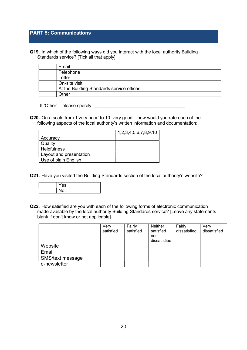## PART 5: Communications

Q19. In which of the following ways did you interact with the local authority Building Standards service? [Tick all that apply]

| Email                                     |
|-------------------------------------------|
| Telephone                                 |
| Letter                                    |
| On-site visit                             |
| At the Building Standards service offices |
| )ther                                     |

If 'Other' – please specify:

Q20. On a scale from 1'very poor' to 10 'very good' - how would you rate each of the following aspects of the local authority's written information and documentation:

|                         | 1, 2, 3, 4, 5, 6, 7, 8, 9, 10 |
|-------------------------|-------------------------------|
| Accuracy                |                               |
| Quality                 |                               |
| Helpfulness             |                               |
| Layout and presentation |                               |
| Use of plain English    |                               |

Q21. Have you visited the Building Standards section of the local authority's website?



Q22. How satisfied are you with each of the following forms of electronic communication made available by the local authority Building Standards service? [Leave any statements blank if don't know or not applicable]

|                  | Very<br>satisfied | Fairly<br>satisfied | Neither<br>satisfied<br>nor | Fairly<br>dissatisfied | Very<br>dissatisfied |
|------------------|-------------------|---------------------|-----------------------------|------------------------|----------------------|
|                  |                   |                     | dissatisfied                |                        |                      |
| Website          |                   |                     |                             |                        |                      |
| Email            |                   |                     |                             |                        |                      |
| SMS/text message |                   |                     |                             |                        |                      |
| e-newsletter     |                   |                     |                             |                        |                      |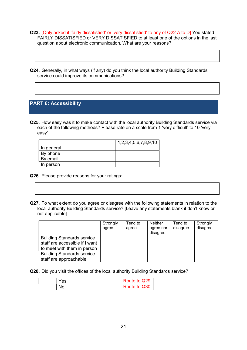- Q23. [Only asked if 'fairly dissatisfied' or 'very dissatisfied' to any of Q22 A to D] You stated FAIRLY DISSATISFIED or VERY DISSATISFIED to at least one of the options in the last question about electronic communication. What are your reasons?
- Q24. Generally, in what ways (if any) do you think the local authority Building Standards service could improve its communications?

## PART 6: Accessibility

Q25. How easy was it to make contact with the local authority Building Standards service via each of the following methods? Please rate on a scale from 1 'very difficult' to 10 'very easy'

|            | 1,2,3,4,5,6,7,8,9,10 |
|------------|----------------------|
| In general |                      |
| By phone   |                      |
| By email   |                      |
| In person  |                      |

- Q26. Please provide reasons for your ratings:
- Q27. To what extent do you agree or disagree with the following statements in relation to the local authority Building Standards service? [Leave any statements blank if don't know or not applicable]

|                                                                                                    | Strongly<br>agree | Tend to<br>agree | <b>Neither</b><br>agree nor<br>disagree | Tend to<br>disagree | Strongly<br>disagree |
|----------------------------------------------------------------------------------------------------|-------------------|------------------|-----------------------------------------|---------------------|----------------------|
| <b>Building Standards service</b><br>staff are accessible if I want<br>to meet with them in person |                   |                  |                                         |                     |                      |
| <b>Building Standards service</b><br>staff are approachable                                        |                   |                  |                                         |                     |                      |

Q28. Did you visit the offices of the local authority Building Standards service?

| <b>Yes</b> | Route to Q29 |
|------------|--------------|
| No         | Route to Q30 |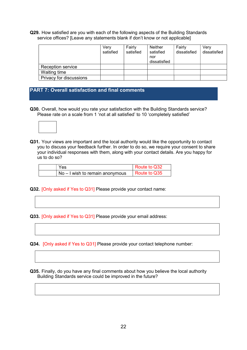Q29. How satisfied are you with each of the following aspects of the Building Standards service offices? [Leave any statements blank if don't know or not applicable]

|                          | Verv<br>satisfied | Fairly<br>satisfied | Neither<br>satisfied<br>nor<br>dissatisfied | Fairly<br>dissatisfied | Verv<br>dissatisfied |
|--------------------------|-------------------|---------------------|---------------------------------------------|------------------------|----------------------|
| <b>Reception service</b> |                   |                     |                                             |                        |                      |
| Waiting time             |                   |                     |                                             |                        |                      |
| Privacy for discussions  |                   |                     |                                             |                        |                      |

## PART 7: Overall satisfaction and final comments

Q30. Overall, how would you rate your satisfaction with the Building Standards service? Please rate on a scale from 1 'not at all satisfied' to 10 'completely satisfied'



Q31. Your views are important and the local authority would like the opportunity to contact you to discuss your feedback further. In order to do so, we require your consent to share your individual responses with them, along with your contact details. Are you happy for us to do so?

| Yes                             | Route to Q32 |
|---------------------------------|--------------|
| No – I wish to remain anonymous | Route to Q35 |

Q32. [Only asked if Yes to Q31] Please provide your contact name:

Q33. [Only asked if Yes to Q31] Please provide your email address:

Q34. [Only asked if Yes to Q31] Please provide your contact telephone number:

Q35. Finally, do you have any final comments about how you believe the local authority Building Standards service could be improved in the future?